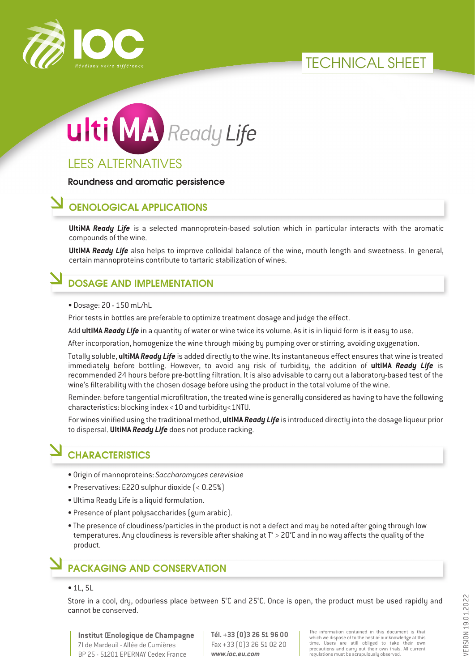





LEES ALTERNATIVES

Roundness and aromatic persistence

### OENOLOGICAL APPLICATIONS

**UltiMA** *Ready Life* is a selected mannoprotein-based solution which in particular interacts with the aromatic compounds of the wine.

**UltiMA** *Ready Life* also helps to improve colloidal balance of the wine, mouth length and sweetness. In general, certain mannoproteins contribute to tartaric stabilization of wines.

### DOSAGE AND IMPLEMENTATION

• Dosage: 20 - 150 mL/hL

Prior tests in bottles are preferable to optimize treatment dosage and judge the effect.

Add **ultiMA** *Ready Life* in a quantity of water or wine twice its volume. As it is in liquid form is it easy to use.

After incorporation, homogenize the wine through mixing by pumping over or stirring, avoiding oxygenation.

Totally soluble, **ultiMA** *Ready Life* is added directly to the wine. Its instantaneous effect ensures that wine is treated immediately before bottling. However, to avoid any risk of turbidity, the addition of **ultiMA** *Ready Life* is recommended 24 hours before pre-bottling filtration. It is also advisable to carry out a laboratory-based test of the wine's filterability with the chosen dosage before using the product in the total volume of the wine.

Reminder: before tangential microfiltration, the treated wine is generally considered as having to have the following characteristics: blocking index <10 and turbidity<1NTU.

For wines vinified using the traditional method, **ultiMA** *Ready Life* is introduced directly into the dosage liqueur prior to dispersal. **UltiMA** *Ready Life* does not produce racking.

# **CHARACTERISTICS**

- Origin of mannoproteins: *Saccharomyces cerevisiae*
- Preservatives: E220 sulphur dioxide (< 0.25%)
- Ultima Ready Life is a liquid formulation.
- Presence of plant polysaccharides (gum arabic).
- The presence of cloudiness/particles in the product is not a defect and may be noted after going through low temperatures. Any cloudiness is reversible after shaking at T° > 20°C and in no way affects the quality of the product.

## PACKAGING AND CONSERVATION

#### • 1L, 5L

Store in a cool, dry, odourless place between 5°C and 25°C. Once is open, the product must be used rapidly and cannot be conserved.

**Institut Œnologique de Champagne** ZI de Mardeuil - Allée de Cumières BP 25 - 51201 EPERNAY Cedex France

**Tél. +33 (0)3 26 51 96 00** Fax +33 (0)3 26 51 02 20 *www.ioc.eu.com*

The information contained in this document is that which we dispose of to the best of our knowledge at this time. Users are still obliged to take their own precautions and carry out their own trials. All current regulations must be scrupulously observed.